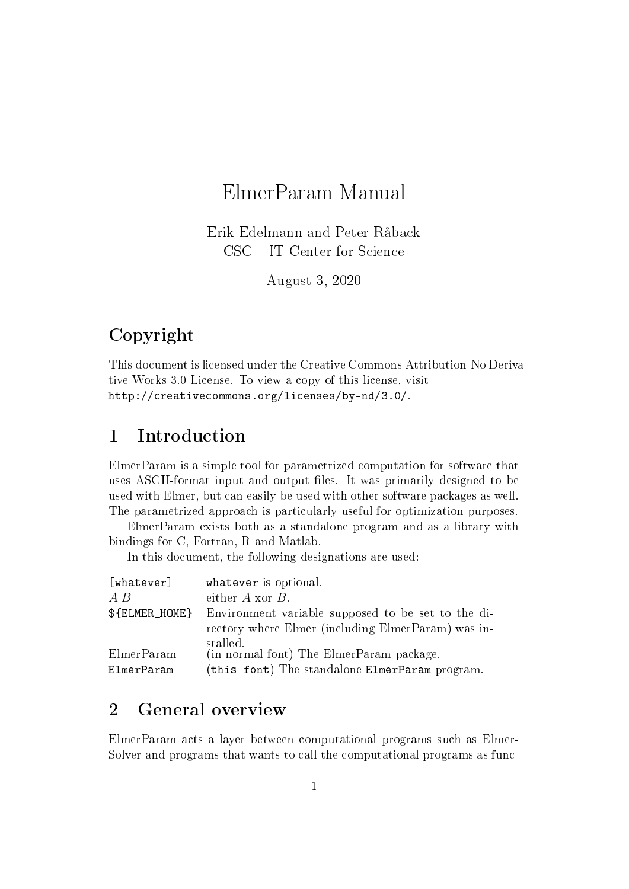# ElmerParam Manual

Erik Edelmann and Peter Råback CSC – IT Center for Science

August 3, 2020

# Copyright

This document is licensed under the Creative Commons Attribution-No Derivative Works 3.0 License. To view a copy of this license, visit http://creativecommons.org/licenses/by-nd/3.0/.

## 1 Introduction

ElmerParam is a simple tool for parametrized computation for software that uses ASCII-format input and output files. It was primarily designed to be used with Elmer, but can easily be used with other software packages as well. The parametrized approach is particularly useful for optimization purposes.

ElmerParam exists both as a standalone program and as a library with bindings for C, Fortran, R and Matlab.

In this document, the following designations are used:

| [whatever]     | whatever is optional.                              |
|----------------|----------------------------------------------------|
| A B            | either $A$ xor $B$ .                               |
| \${ELMER_HOME} | Environment variable supposed to be set to the di- |
|                | rectory where Elmer (including ElmerParam) was in- |
|                | stalled.                                           |
| ElmerParam     | (in normal font) The ElmerParam package.           |
| ElmerParam     | (this font) The standalone ElmerParam program.     |

## 2 General overview

ElmerParam acts a layer between computational programs such as Elmer-Solver and programs that wants to call the computational programs as func-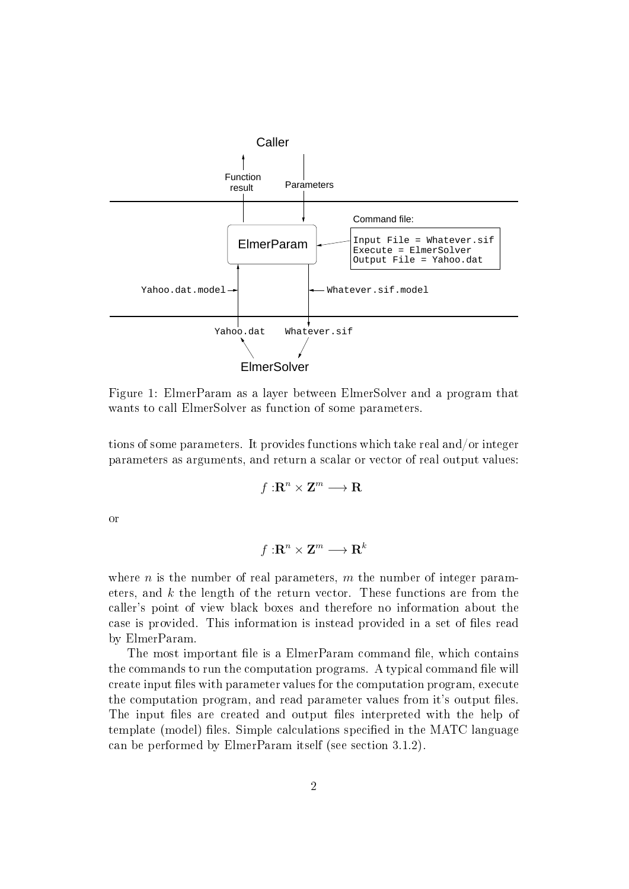

Figure 1: ElmerParam as a layer between ElmerSolver and a program that wants to call ElmerSolver as function of some parameters.

tions of some parameters. It provides functions which take real and/or integer parameters as arguments, and return a scalar or vector of real output values:

$$
f:\mathbf{R}^n\times\mathbf{Z}^m\longrightarrow\mathbf{R}
$$

or

$$
f:\mathbf{R}^n\times \mathbf{Z}^m\longrightarrow \mathbf{R}^k
$$

where n is the number of real parameters, m the number of integer parameters, and  $k$  the length of the return vector. These functions are from the caller's point of view black boxes and therefore no information about the case is provided. This information is instead provided in a set of files read by ElmerParam.

The most important file is a ElmerParam command file, which contains the commands to run the computation programs. A typical command file will create input files with parameter values for the computation program, execute the computation program, and read parameter values from it's output files. The input files are created and output files interpreted with the help of template (model) files. Simple calculations specified in the MATC language can be performed by ElmerParam itself (see section 3.1.2).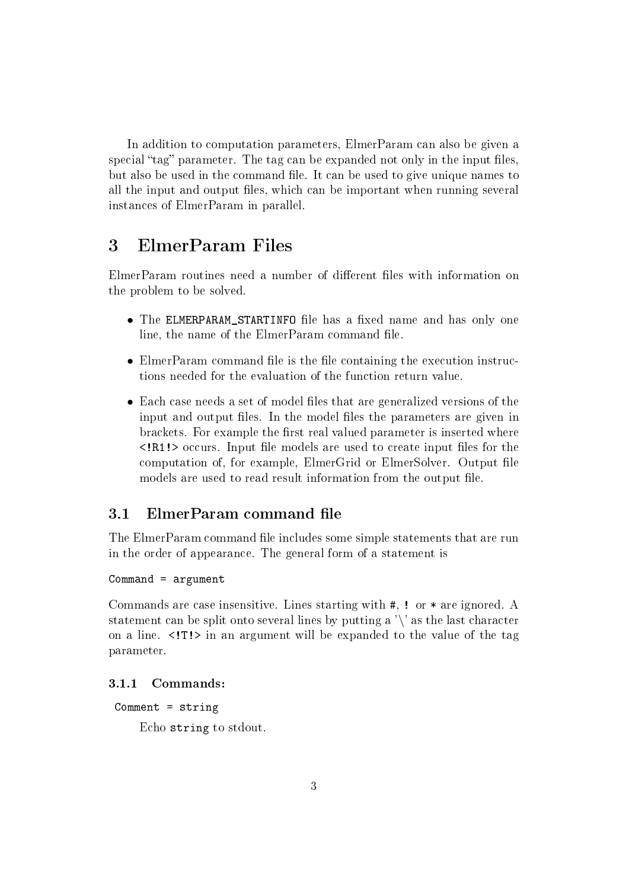In addition to computation parameters, ElmerParam can also be given a special "tag" parameter. The tag can be expanded not only in the input files. but also be used in the command file. It can be used to give unique names to all the input and output files, which can be important when running several instances of ElmerParam in parallel.

## 3 ElmerParam Files

ElmerParam routines need a number of different files with information on the problem to be solved.

- The ELMERPARAM STARTINFO file has a fixed name and has only one line, the name of the ElmerParam command file.
- ElmerParam command file is the file containing the execution instructions needed for the evaluation of the function return value.
- Each case needs a set of model files that are generalized versions of the input and output files. In the model files the parameters are given in brackets. For example the first real valued parameter is inserted where  $\langle R1! \rangle$  occurs. Input file models are used to create input files for the computation of, for example, ElmerGrid or ElmerSolver. Output file models are used to read result information from the output file.

## 3.1 ElmerParam command file

The ElmerParam command file includes some simple statements that are run in the order of appearance. The general form of a statement is

#### Command = argument

Commands are case insensitive. Lines starting with #, ! or \* are ignored. A statement can be split onto several lines by putting a  $\gamma$  as the last character on a line.  $\langle T! \rangle$  in an argument will be expanded to the value of the tag parameter.

#### 3.1.1 Commands:

```
Comment = string
```
Echo string to stdout.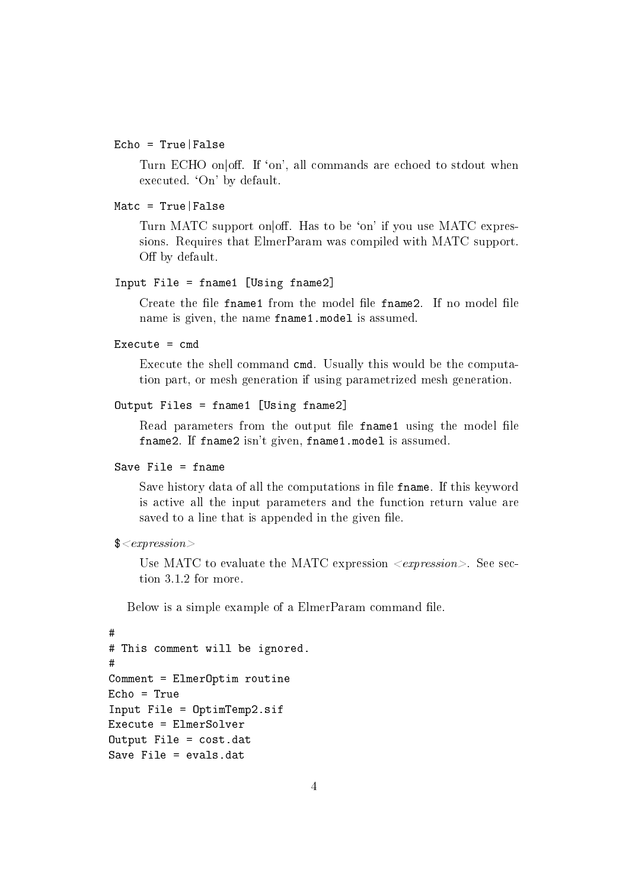#### Echo = True|False

Turn ECHO on off. If 'on', all commands are echoed to stdout when executed. 'On' by default.

#### Matc = True|False

Turn MATC support on off. Has to be 'on' if you use MATC expressions. Requires that ElmerParam was compiled with MATC support. Off by default.

#### Input File = fname1 [Using fname2]

Create the file fname1 from the model file fname2. If no model file name is given, the name fname1.model is assumed.

#### Execute  $=$  cmd

Execute the shell command cmd. Usually this would be the computation part, or mesh generation if using parametrized mesh generation.

```
Output Files = fname1 [Using fname2]
```
Read parameters from the output file fname1 using the model file fname2. If fname2 isn't given, fname1.model is assumed.

#### Save File = fname

Save history data of all the computations in file fname. If this keyword is active all the input parameters and the function return value are saved to a line that is appended in the given file.

```
$<expression>
```
Use MATC to evaluate the MATC expression  $\langle$  expression $\rangle$ . See section 3.1.2 for more.

Below is a simple example of a ElmerParam command file.

```
#
# This comment will be ignored.
#
Comment = ElmerOptim routine
Echo = True
Input File = OptimTemp2.sif
Execute = ElmerSolver
Output File = cost.dat
Save File = evals.dat
```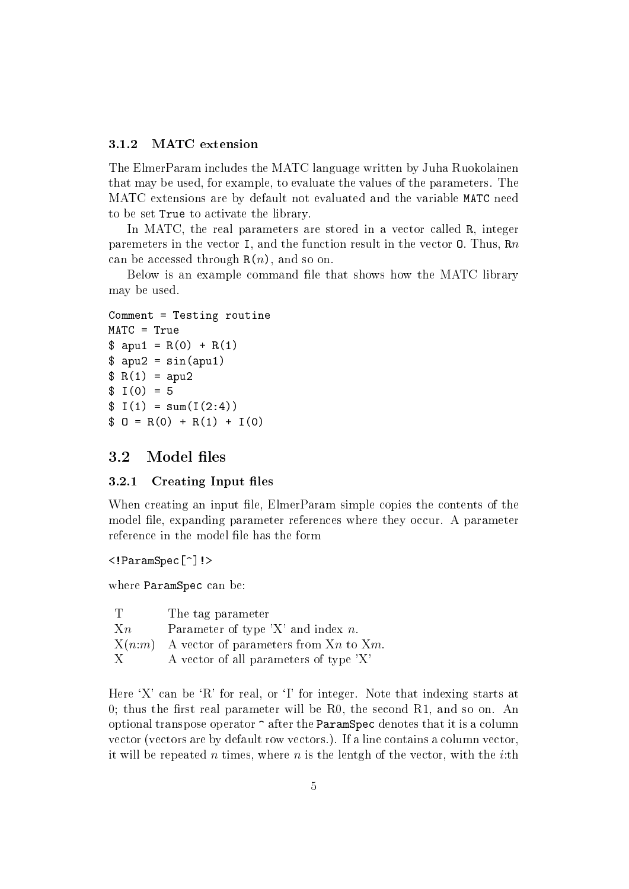#### 3.1.2 MATC extension

The ElmerParam includes the MATC language written by Juha Ruokolainen that may be used, for example, to evaluate the values of the parameters. The MATC extensions are by default not evaluated and the variable MATC need to be set True to activate the library.

In MATC, the real parameters are stored in a vector called R, integer paremeters in the vector I, and the function result in the vector O. Thus, Rn can be accessed through  $R(n)$ , and so on.

Below is an example command file that shows how the MATC library may be used.

```
Comment = Testing routine
MATC = True
\text{\$ } apu1 = R(0) + R(1)
\text{\$ apu2 = sin(apu1)}R(1) =apu2
$ I(0) = 5$ I(1) = sum(I(2:4))$ 0 = R(0) + R(1) + I(0)
```
### 3.2 Model files

#### 3.2.1 Creating Input files

When creating an input file, ElmerParam simple copies the contents of the model file, expanding parameter references where they occur. A parameter reference in the model file has the form

<!ParamSpec[^]!>

where ParamSpec can be:

|       | The tag parameter                                     |
|-------|-------------------------------------------------------|
| $X_n$ | Parameter of type $'X'$ and index n.                  |
|       | $X(n:m)$ A vector of parameters from $X_n$ to $X_m$ . |
| -X.   | A vector of all parameters of type 'X'                |

Here  $X'$  can be  $R'$  for real, or  $T'$  for integer. Note that indexing starts at 0; thus the first real parameter will be  $R0$ , the second  $R1$ , and so on. An optional transpose operator ^ after the ParamSpec denotes that it is a column vector (vectors are by default row vectors.). If a line contains a column vector, it will be repeated n times, where n is the lentgh of the vector, with the *i*:th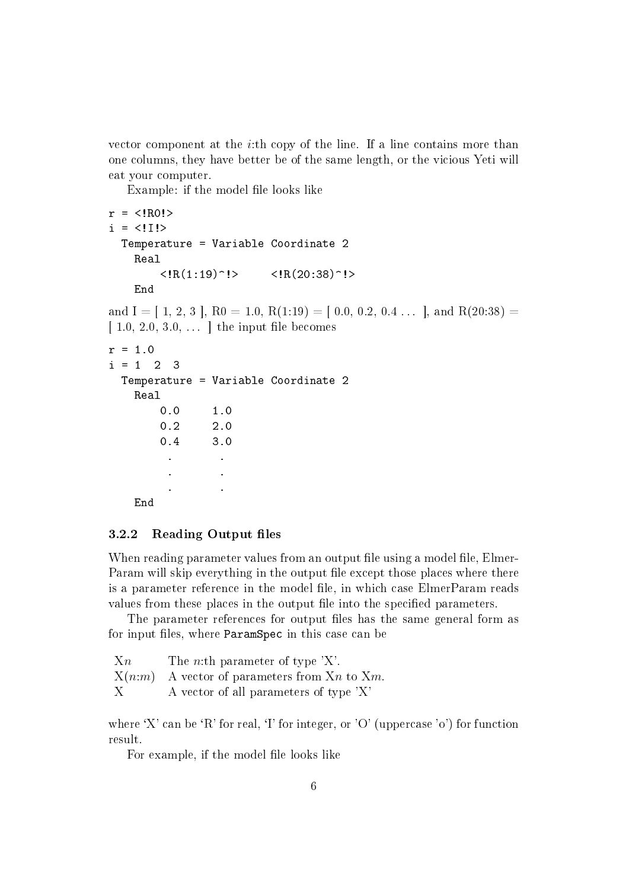vector component at the *i*:th copy of the line. If a line contains more than one columns, they have better be of the same length, or the vicious Yeti will eat your computer.

Example: if the model file looks like

```
r = \langle !R0! \ranglei = \langle 11 \rangleTemperature = Variable Coordinate 2
    Real
          \langle R(1:19)^{-1} \rangle \langle R(20:38)^{-1} \rangleEnd
and I = [ 1, 2, 3 ], R0 = 1.0, R(1:19) = [ 0.0, 0.2, 0.4 ... ], and R(20:38) =
[1.0, 2.0, 3.0, \ldots] the input file becomes
r = 1.0i = 1 2 3
  Temperature = Variable Coordinate 2
    Real
         0.0 1.0
         0.2 2.0
         0.4 3.0
           . .
           . .
           . .
```
End

#### 3.2.2 Reading Output files

When reading parameter values from an output file using a model file, Elmer-Param will skip everything in the output file except those places where there is a parameter reference in the model file, in which case ElmerParam reads values from these places in the output file into the specified parameters.

The parameter references for output files has the same general form as for input files, where ParamSpec in this case can be

| $X_n$ | The <i>n</i> :th parameter of type $'X$ .      |
|-------|------------------------------------------------|
|       | $X(n:m)$ A vector of parameters from Xn to Xm. |
| X     | A vector of all parameters of type 'X'         |

where 'X' can be 'R' for real, 'I' for integer, or 'O' (uppercase 'o') for function result.

For example, if the model file looks like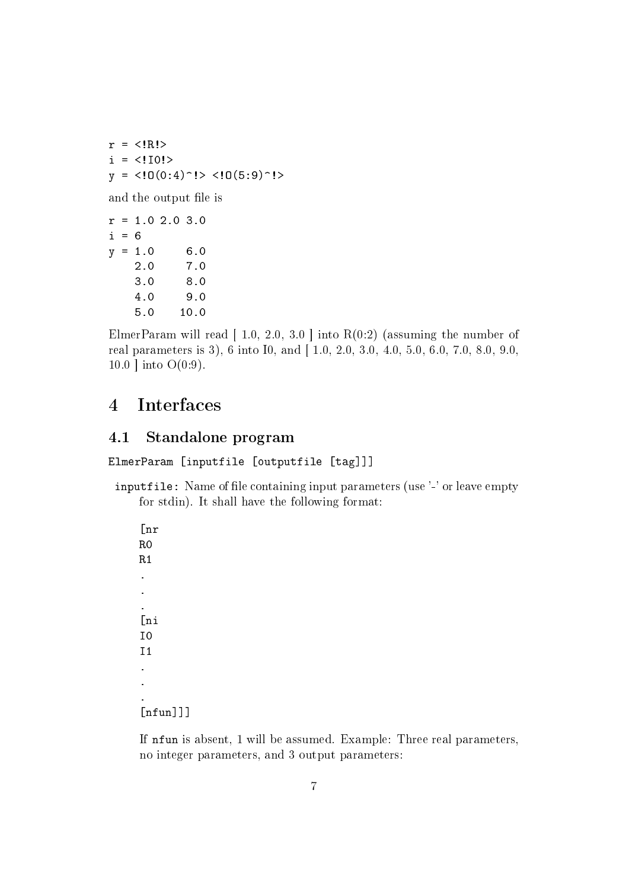$r = \langle R! \rangle$  $i = \langle 110! \rangle$  $y =$  <!0(0:4)^!> <!0(5:9)^!> and the output file is  $r = 1.0 2.0 3.0$  $i = 6$  $y = 1.0$  6.0 2.0 7.0 3.0 8.0 4.0 9.0 5.0 10.0

ElmerParam will read  $[1.0, 2.0, 3.0]$  into  $R(0.2)$  (assuming the number of real parameters is 3), 6 into I0, and [ 1.0, 2.0, 3.0, 4.0, 5.0, 6.0, 7.0, 8.0, 9.0, 10.0  $|$  into O(0:9).

## 4 Interfaces

## 4.1 Standalone program

ElmerParam [inputfile [outputfile [tag]]]

inputfile: Name of file containing input parameters (use '-' or leave empty for stdin). It shall have the following format:

[nr R0 R1 . . . [ni I0 I1 . . .  $[$ nfun $]]$ ] $]$ 

If nfun is absent, 1 will be assumed. Example: Three real parameters, no integer parameters, and 3 output parameters: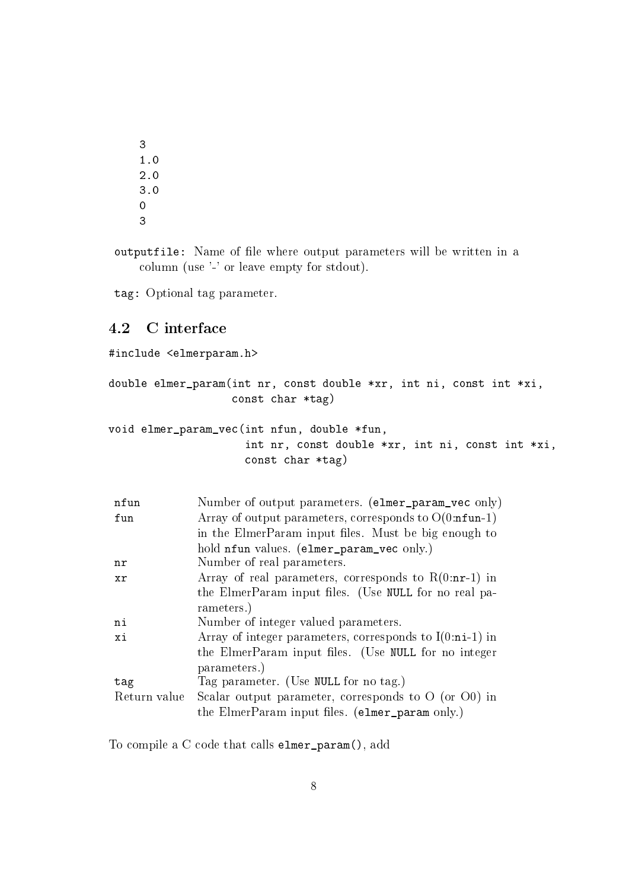3 1.0 2.0 3.0 0 3

outputfile: Name of file where output parameters will be written in a column (use '-' or leave empty for stdout).

tag: Optional tag parameter.

### 4.2 C interface

```
#include <elmerparam.h>
double elmer_param(int nr, const double *xr, int ni, const int *xi,
                   const char *tag)
void elmer_param_vec(int nfun, double *fun,
                     int nr, const double *xr, int ni, const int *xi,
                     const char *tag)
```

| nfun         | Number of output parameters. (elmer_param_vec only)             |  |  |  |  |  |
|--------------|-----------------------------------------------------------------|--|--|--|--|--|
| fun          | Array of output parameters, corresponds to $O(0:\text{nfun-1})$ |  |  |  |  |  |
|              | in the ElmerParam input files. Must be big enough to            |  |  |  |  |  |
|              | hold nfun values. (elmer_param_vec only.)                       |  |  |  |  |  |
| nr           | Number of real parameters.                                      |  |  |  |  |  |
| <b>xr</b>    | Array of real parameters, corresponds to $R(0:nr-1)$ in         |  |  |  |  |  |
|              | the ElmerParam input files. (Use NULL for no real pa-           |  |  |  |  |  |
|              | rameters.)                                                      |  |  |  |  |  |
| ni           | Number of integer valued parameters.                            |  |  |  |  |  |
| xi           | Array of integer parameters, corresponds to $I(0:ni-1)$ in      |  |  |  |  |  |
|              | the ElmerParam input files. (Use NULL for no integer            |  |  |  |  |  |
|              | parameters.)                                                    |  |  |  |  |  |
| tag          | Tag parameter. (Use NULL for no tag.)                           |  |  |  |  |  |
| Return value | Scalar output parameter, corresponds to $O$ (or $O()$ ) in      |  |  |  |  |  |
|              | the ElmerParam input files. (elmer_param only.)                 |  |  |  |  |  |

To compile a C code that calls elmer\_param(), add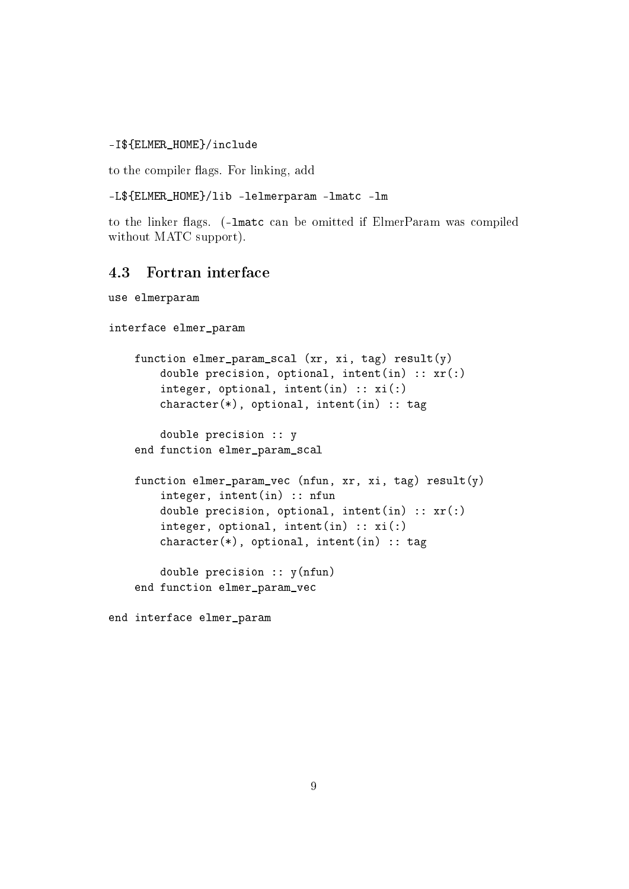#### -I\${ELMER\_HOME}/include

to the compiler flags. For linking, add

```
-L${ELMER_HOME}/lib -lelmerparam -lmatc -lm
```
to the linker flags. (-lmatc can be omitted if ElmerParam was compiled without MATC support).

## 4.3 Fortran interface

```
use elmerparam
```

```
interface elmer_param
    function elmer_param_scal (xr, xi, tag) result(y)
        double precision, optional, intent(in) :: xr(:)
        integer, optional, intent(in) :: xi :)
        character(*), optional, intent(in) :: tag
        double precision :: y
    end function elmer_param_scal
    function elmer_param_vec (nfun, xr, xi, tag) result(y)
        integer, intent(in) :: nfun
        double precision, optional, intent(in) :: xr(:)
        integer, optional, intent(in) :: xi(:)
        character(*), optional, intent(in) :: tag
        double precision :: y(nfun)
    end function elmer_param_vec
```
end interface elmer\_param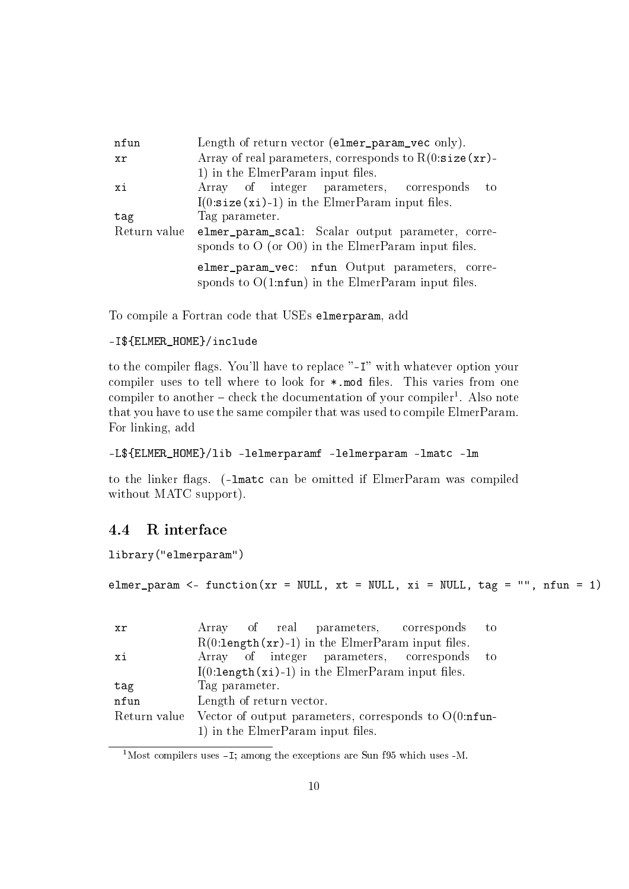| nfun         | Length of return vector (elmer_param_vec only).                                                         |  |  |  |  |  |  |
|--------------|---------------------------------------------------------------------------------------------------------|--|--|--|--|--|--|
| xr           | Array of real parameters, corresponds to $R(0:size(xr))$ -                                              |  |  |  |  |  |  |
|              | 1) in the ElmerParam input files.                                                                       |  |  |  |  |  |  |
| xi           | Array of integer parameters, corresponds<br>to                                                          |  |  |  |  |  |  |
|              | $I(0:size(xi)-1)$ in the ElmerParam input files.                                                        |  |  |  |  |  |  |
| tag          | Tag parameter.                                                                                          |  |  |  |  |  |  |
| Return value | elmer_param_scal: Scalar output parameter, corre-                                                       |  |  |  |  |  |  |
|              | sponds to $O$ (or $O()$ ) in the ElmerParam input files.                                                |  |  |  |  |  |  |
|              | elmer_param_vec: nfun Output parameters, corre-<br>sponds to $O(1:nfun)$ in the ElmerParam input files. |  |  |  |  |  |  |

To compile a Fortran code that USEs elmerparam, add

### -I\${ELMER\_HOME}/include

to the compiler flags. You'll have to replace "-I" with whatever option your compiler uses to tell where to look for  $*$  mod files. This varies from one compiler to another – check the documentation of your compiler<sup>1</sup>. Also note that you have to use the same compiler that was used to compile ElmerParam. For linking, add

```
-L${ELMER_HOME}/lib -lelmerparamf -lelmerparam -lmatc -lm
```
to the linker flags. (-lmatc can be omitted if ElmerParam was compiled without MATC support).

### 4.4 R interface

library("elmerparam")

```
elmer_param <- function(xr = NULL, xt = NULL, xi = NULL, tag = ", nfun = 1)
```

| xr   |                                                                      |  |  |                                                    | Array of real parameters, corresponds    | to |  |  |
|------|----------------------------------------------------------------------|--|--|----------------------------------------------------|------------------------------------------|----|--|--|
|      | $R(0:length(xr)-1)$ in the ElmerParam input files.                   |  |  |                                                    |                                          |    |  |  |
| xi   |                                                                      |  |  |                                                    | Array of integer parameters, corresponds | to |  |  |
|      |                                                                      |  |  | $I(0:length(xi)-1)$ in the ElmerParam input files. |                                          |    |  |  |
| tag  | Tag parameter.                                                       |  |  |                                                    |                                          |    |  |  |
| nfun | Length of return vector.                                             |  |  |                                                    |                                          |    |  |  |
|      | Return value Vector of output parameters, corresponds to $O(0:nfun-$ |  |  |                                                    |                                          |    |  |  |
|      |                                                                      |  |  | 1) in the ElmerParam input files.                  |                                          |    |  |  |

<sup>1</sup>Most compilers uses -I; among the exceptions are Sun f95 which uses -M.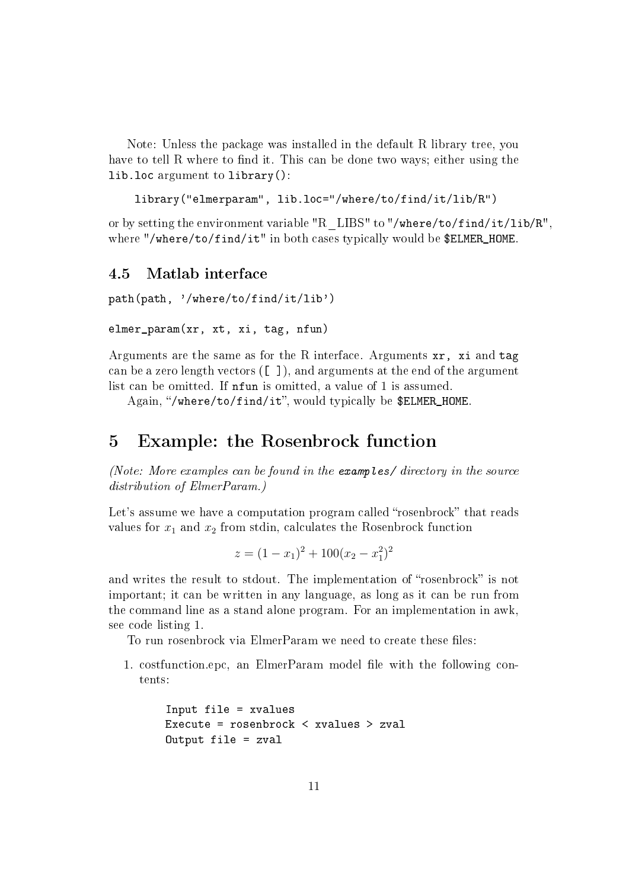Note: Unless the package was installed in the default R library tree, you have to tell R where to find it. This can be done two ways; either using the lib.loc argument to library():

```
library("elmerparam", lib.loc="/where/to/find/it/lib/R")
```
or by setting the environment variable "R\_LIBS" to "/where/to/find/it/lib/R", where "/where/to/find/it" in both cases typically would be \$ELMER\_HOME.

## 4.5 Matlab interface

path(path, '/where/to/find/it/lib')

```
elmer_param(xr, xt, xi, tag, nfun)
```
Arguments are the same as for the R interface. Arguments xr, xi and tag can be a zero length vectors  $(\begin{bmatrix} 1 \end{bmatrix})$ , and arguments at the end of the argument list can be omitted. If nfun is omitted, a value of 1 is assumed.

Again, "/where/to/find/it", would typically be \$ELMER\_HOME.

## 5 Example: the Rosenbrock function

(Note: More examples can be found in the examples/ directory in the source distribution of ElmerParam.)

Let's assume we have a computation program called "rosenbrock" that reads values for  $x_1$  and  $x_2$  from stdin, calculates the Rosenbrock function

$$
z = (1 - x_1)^2 + 100(x_2 - x_1^2)^2
$$

and writes the result to stdout. The implementation of "rosenbrock" is not important; it can be written in any language, as long as it can be run from the command line as a stand alone program. For an implementation in awk, see code listing 1.

To run rosenbrock via ElmerParam we need to create these files:

1. costfunction.epc, an ElmerParam model file with the following contents:

```
Input file = xvalues
Execute = rosenbrock < xvalues > zval
Output file = zval
```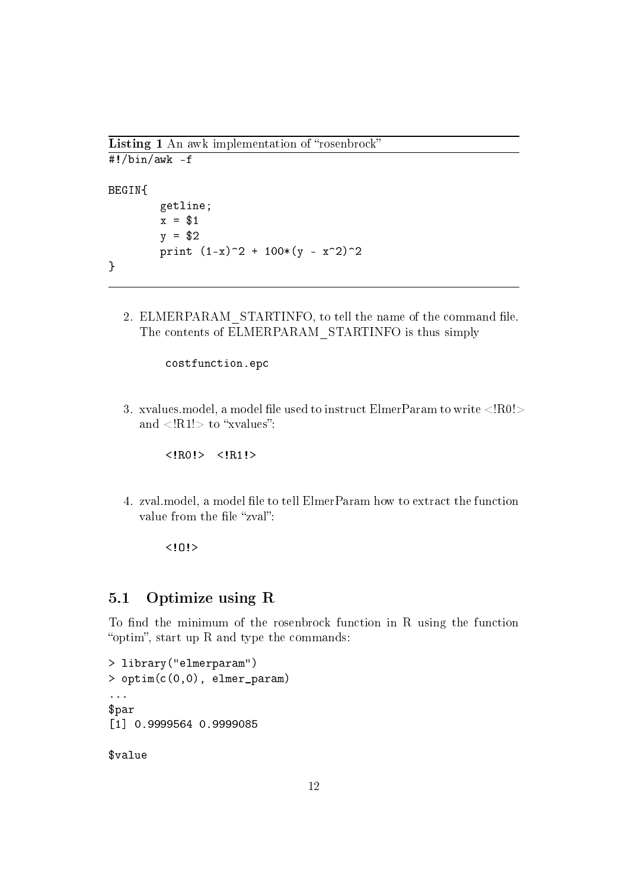Listing 1 An awk implementation of "rosenbrock"

```
#!/bin/awk -f
BEGIN{
        getline;
        x = $1y = $2print (1-x)^2 + 100*(y - x^2)^2}
```
2. ELMERPARAM STARTINFO, to tell the name of the command file. The contents of ELMERPARAM\_STARTINFO is thus simply

costfunction.epc

3. xvalues.model, a model file used to instruct ElmerParam to write  $\langle R0|>$ and  $\langle R1! \rangle$  to "xvalues":

<!R0!> <!R1!>

4. zval.model, a model file to tell ElmerParam how to extract the function value from the file "zval":

 $10!$ 

### 5.1 Optimize using R

To find the minimum of the rosenbrock function in R using the function "optim", start up R and type the commands:

```
> library("elmerparam")
> optim(c(0,0), elmer_param)
...
$par
[1] 0.9999564 0.9999085
```
\$value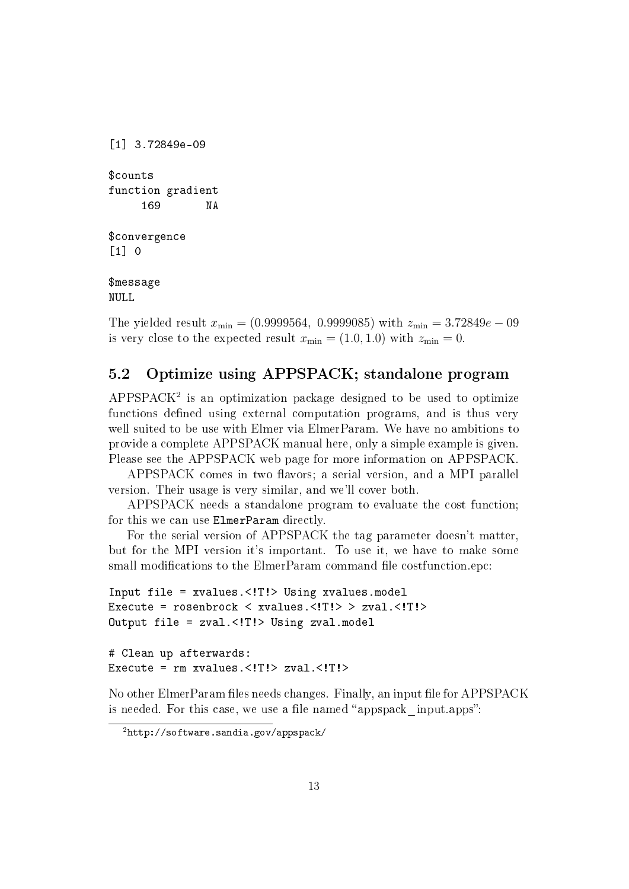```
[1] 3.72849e-09
$counts
function gradient
       169 NA
$convergence
\begin{bmatrix} 1 \end{bmatrix} 0
$message
NULL
```
The yielded result  $x_{\text{min}} = (0.9999564, 0.9999085)$  with  $z_{\text{min}} = 3.72849e - 09$ is very close to the expected result  $x_{\text{min}} = (1.0, 1.0)$  with  $z_{\text{min}} = 0$ .

## 5.2 Optimize using APPSPACK; standalone program

 $APPSPACE<sup>2</sup>$  is an optimization package designed to be used to optimize functions defined using external computation programs, and is thus very well suited to be use with Elmer via ElmerParam. We have no ambitions to provide a complete APPSPACK manual here, only a simple example is given. Please see the APPSPACK web page for more information on APPSPACK.

APPSPACK comes in two flavors; a serial version, and a MPI parallel version. Their usage is very similar, and we'll cover both.

APPSPACK needs a standalone program to evaluate the cost function; for this we can use ElmerParam directly.

For the serial version of APPSPACK the tag parameter doesn't matter, but for the MPI version it's important. To use it, we have to make some small modifications to the ElmerParam command file costfunction.epc:

```
Input file = xvalues.<!T!> Using xvalues.model
Execute = rosenbrock < xvalues.<!T!> > zval.<!T!>
Output file = zval.<!T!> Using zval.model
# Clean up afterwards:
Execute = rm xvalues.<!T!> zval.<!T!>
```
No other ElmerParam files needs changes. Finally, an input file for APPSPACK is needed. For this case, we use a file named "appspack input.apps":

<sup>2</sup>http://software.sandia.gov/appspack/